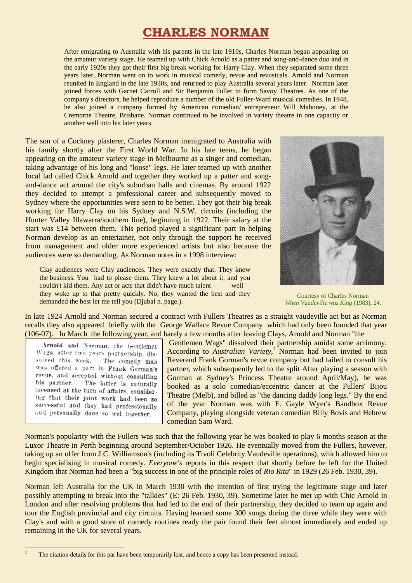# **CHARLES NORMAN**

After emigrating to Australia with his parents in the late 1910s, Charles Norman began appearing on the amateur variety stage. He teamed up with Chick Arnold as a patter and song-and-dance duo and in the early 1920s they got their first big break working for Harry Clay. When they separated some three years later, Norman went on to work in musical comedy, revue and revusicals. Arnold and Norman reunited in England in the late 1930s, and returned to play Australia several years later. Norman later joined forces with Garnet Carroll and Sir Benjamin Fuller to form Savoy Theatres. As one of the company's directors, he helped reproduce a number of the old Fuller-Ward musical comedies. In 1948, he also joined a company formed by American comedian/ entrepreneur Will Mahoney, at the Cremorne Theatre, Brisbane. Norman continued to be involved in variety theatre in one capacity or another well into his later years.

The son of a Cockney plasterer, Charles Norman immigrated to Australia with his family shortly after the First World War. In his late teens, he began appearing on the amateur variety stage in Melbourne as a singer and comedian, taking advantage of his long and "loose" legs. He later teamed up with another local lad called Chick Arnold and together they worked up a patter and songand-dance act around the city's suburban halls and cinemas. By around 1922 they decided to attempt a professional career and subsequently moved to Sydney where the opportunities were seen to be better. They got their big break working for Harry Clay on his Sydney and N.S.W. circuits (including the Hunter Valley Illawarra/southern line), beginning in 1922. Their salary at the start was £14 between them. This period played a significant part in helping Norman develop as an entertainer, not only through the support he received from management and older more experienced artists but also because the audiences were so demanding. As Norman notes in a 1998 interview:

Clay audiences were Clay audiences. They were exactly that. They knew the business. You had to please them. They knew a lot about it, and you couldn't kid them. Any act or acts that didn't have much talent – well they woke up to that pretty quickly. No, they wanted the best and they demanded the best let me tell you (Djubal n. page.).



Courtesy of Charles Norman *When Vaudeville was King* (1983), 24.

In late 1924 Arnold and Norman secured a contract with Fullers Theatres as a straight vaudeville act but as Norman recalls they also appeared briefly with the George Wallace Revue Company which had only been founded that year (106-07). In March the following year, and barely a few months after leaving Clays, Arnold and Norman "the

Arnold and Norman, the Gentlemen Wags, after two years partnership, dissolved this week. The comedy man was offered a part in Frank Gorman's revue, and accepted without consulting his partner. The latter is naturally incensed at the turn of affairs, considering that their joint work had been so successful and they had professionally and personally done so wel together.

Gentlemen Wags" dissolved their partnership amidst some acrimony. According to *Australian Variety*, <sup>1</sup> Norman had been invited to join Reverend Frank Gorman's revue company but had failed to consult his partner, which subsequently led to the split After playing a season with Gorman at Sydney's Princess Theatre around April/May), he was booked as a solo comedian/eccentric dancer at the Fullers' Bijou Theatre (Melb), and billed as "the dancing daddy long legs." By the end of the year Norman was with F. Gayle Wyer's Bandbox Revue Company, playing alongside veteran comedian Billy Bovis and Hebrew comedian Sam Ward.

Norman's popularity with the Fullers was such that the following year he was booked to play 6 months season at the Luxor Theatre in Perth beginning around September/October 1926. He eventually moved from the Fullers, however, taking up an offer from J.C. Williamson's (including its Tivoli Celebrity Vaudeville operations), which allowed him to begin specialising in musical comedy. *Everyone's* reports in this respect that shortly before he left for the United Kingdom that Norman had been a "big success in one of the principle roles of *Rio Rita*" in 1929 (26 Feb. 1930, 39).

Norman left Australia for the UK in March 1930 with the intention of first trying the legitimate stage and later possibly attempting to break into the "talkies" (E: 26 Feb. 1930, 39). Sometime later he met up with Chic Arnold in London and after resolving problems that had led to the end of their partnership, they decided to team up again and tour the English provincial and city circuits. Having learned some 300 songs during the three while they were with Clay's and with a good store of comedy routines ready the pair found their feet almost immediately and ended up remaining in the UK for several years.

<sup>1</sup> <sup>1</sup> The citation details for this par have been temporarily lost, and hence a copy has been presented instead.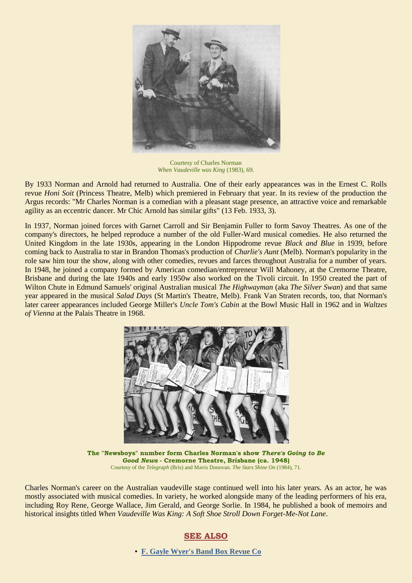

Courtesy of Charles Norman *When Vaudeville was King* (1983), 69.

By 1933 Norman and Arnold had returned to Australia. One of their early appearances was in the Ernest C. Rolls revue *Honi Soit* (Princess Theatre, Melb) which premiered in February that year. In its review of the production the Argus records: "Mr Charles Norman is a comedian with a pleasant stage presence, an attractive voice and remarkable agility as an eccentric dancer. Mr Chic Arnold has similar gifts" (13 Feb. 1933, 3).

In 1937, Norman joined forces with Garnet Carroll and Sir Benjamin Fuller to form Savoy Theatres. As one of the company's directors, he helped reproduce a number of the old Fuller-Ward musical comedies. He also returned the United Kingdom in the late 1930s, appearing in the London Hippodrome revue *Black and Blue* in 1939, before coming back to Australia to star in Brandon Thomas's production of *Charlie's Aunt* (Melb). Norman's popularity in the role saw him tour the show, along with other comedies, revues and farces throughout Australia for a number of years. In 1948, he joined a company formed by American comedian/entrepreneur Will Mahoney, at the Cremorne Theatre, Brisbane and during the late 1940s and early 1950w also worked on the Tivoli circuit. In 1950 created the part of Wilton Chute in Edmund Samuels' original Australian musical *The Highwayman* (aka *The Silver Swan*) and that same year appeared in the musical *Salad Days* (St Martin's Theatre, Melb). Frank Van Straten records, too, that Norman's later career appearances included George Miller's *Uncle Tom's Cabin* at the Bowl Music Hall in 1962 and in *Waltzes of Vienna* at the Palais Theatre in 1968.



**The "Newsboys" number form Charles Norman's show** *There's Going to Be Good News* **- Cremorne Theatre, Brisbane (ca. 1948)** Courtesy of the *Telegraph* (Bris) and Mavis Donovan*. The Stars Shine On* (1984), 71.

Charles Norman's career on the Australian vaudeville stage continued well into his later years. As an actor, he was mostly associated with musical comedies. In variety, he worked alongside many of the leading performers of his era, including Roy Rene, George Wallace, Jim Gerald, and George Sorlie. In 1984, he published a book of memoirs and historical insights titled *When Vaudeville Was King: A Soft Shoe Stroll Down Forget-Me-Not Lane*.

# **SEE ALSO**

• **[F. Gayle Wyer's Band Box Revue Co](http://ozvta.com/troupes-a-f/)**